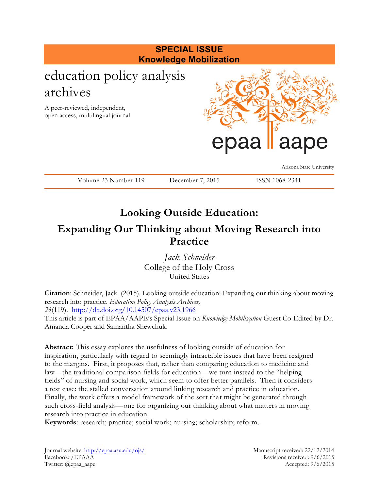

# **Looking Outside Education: Expanding Our Thinking about Moving Research into Practice**

*Jack Schneider* College of the Holy Cross United States

**Citation**: Schneider, Jack. (2015). Looking outside education: Expanding our thinking about moving research into practice. *Education Policy Analysis Archives, 23*(119). <http://dx.doi.org/10.14507/epaa.v23.1966> This article is part of EPAA/AAPE's Special Issue on *Knowledge Mobilization* Guest Co-Edited by Dr. Amanda Cooper and Samantha Shewchuk.

**Abstract:** This essay explores the usefulness of looking outside of education for inspiration, particularly with regard to seemingly intractable issues that have been resigned to the margins. First, it proposes that, rather than comparing education to medicine and law—the traditional comparison fields for education—we turn instead to the "helping fields" of nursing and social work, which seem to offer better parallels. Then it considers a test case: the stalled conversation around linking research and practice in education. Finally, the work offers a model framework of the sort that might be generated through such cross-field analysis—one for organizing our thinking about what matters in moving research into practice in education.

**Keywords**: research; practice; social work; nursing; scholarship; reform.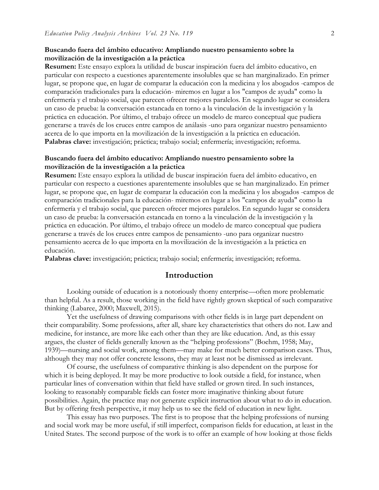#### **Buscando fuera del ámbito educativo: Ampliando nuestro pensamiento sobre la movilización de la investigación a la práctica**

**Resumen:** Este ensayo explora la utilidad de buscar inspiración fuera del ámbito educativo, en particular con respecto a cuestiones aparentemente insolubles que se han marginalizado. En primer lugar, se propone que, en lugar de comparar la educación con la medicina y los abogados -campos de comparación tradicionales para la educación- miremos en lugar a los "campos de ayuda" como la enfermería y el trabajo social, que parecen ofrecer mejores paralelos. En segundo lugar se considera un caso de prueba: la conversación estancada en torno a la vinculación de la investigación y la práctica en educación. Por último, el trabajo ofrece un modelo de marco conceptual que pudiera generarse a través de los cruces entre campos de análasis -uno para organizar nuestro pensamiento acerca de lo que importa en la movilización de la investigación a la práctica en educación. **Palabras clave:** investigación; práctica; trabajo social; enfermería; investigación; reforma.

#### **Buscando fuera del ámbito educativo: Ampliando nuestro pensamiento sobre la movilización de la investigación a la práctica**

**Resumen:** Este ensayo explora la utilidad de buscar inspiración fuera del ámbito educativo, en particular con respecto a cuestiones aparentemente insolubles que se han marginalizado. En primer lugar, se propone que, en lugar de comparar la educación con la medicina y los abogados -campos de comparación tradicionales para la educación- miremos en lugar a los "campos de ayuda" como la enfermería y el trabajo social, que parecen ofrecer mejores paralelos. En segundo lugar se considera un caso de prueba: la conversación estancada en torno a la vinculación de la investigación y la práctica en educación. Por último, el trabajo ofrece un modelo de marco conceptual que pudiera generarse a través de los cruces entre campos de pensamiento -uno para organizar nuestro pensamiento acerca de lo que importa en la movilización de la investigación a la práctica en educación.

**Palabras clave:** investigación; práctica; trabajo social; enfermería; investigación; reforma.

#### **Introduction**

Looking outside of education is a notoriously thorny enterprise—often more problematic than helpful. As a result, those working in the field have rightly grown skeptical of such comparative thinking (Labaree, 2000; Maxwell, 2015).

Yet the usefulness of drawing comparisons with other fields is in large part dependent on their comparability. Some professions, after all, share key characteristics that others do not. Law and medicine, for instance, are more like each other than they are like education. And, as this essay argues, the cluster of fields generally known as the "helping professions" (Boehm, 1958; May, 1939)—nursing and social work, among them—may make for much better comparison cases. Thus, although they may not offer concrete lessons, they may at least not be dismissed as irrelevant.

Of course, the usefulness of comparative thinking is also dependent on the purpose for which it is being deployed. It may be more productive to look outside a field, for instance, when particular lines of conversation within that field have stalled or grown tired. In such instances, looking to reasonably comparable fields can foster more imaginative thinking about future possibilities. Again, the practice may not generate explicit instruction about what to do in education. But by offering fresh perspective, it may help us to see the field of education in new light.

This essay has two purposes. The first is to propose that the helping professions of nursing and social work may be more useful, if still imperfect, comparison fields for education, at least in the United States. The second purpose of the work is to offer an example of how looking at those fields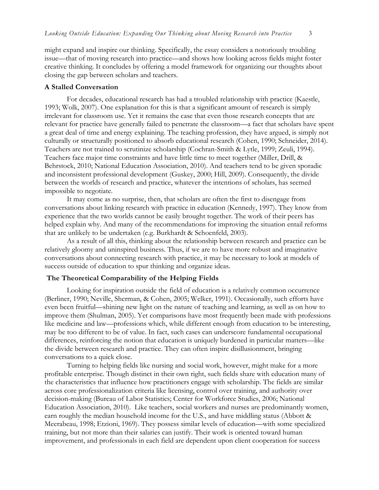might expand and inspire our thinking. Specifically, the essay considers a notoriously troubling issue—that of moving research into practice—and shows how looking across fields might foster creative thinking. It concludes by offering a model framework for organizing our thoughts about closing the gap between scholars and teachers.

#### **A Stalled Conversation**

For decades, educational research has had a troubled relationship with practice (Kaestle, 1993; Wolk, 2007). One explanation for this is that a significant amount of research is simply irrelevant for classroom use. Yet it remains the case that even those research concepts that are relevant for practice have generally failed to penetrate the classroom—a fact that scholars have spent a great deal of time and energy explaining. The teaching profession, they have argued, is simply not culturally or structurally positioned to absorb educational research (Cohen, 1990; Schneider, 2014). Teachers are not trained to scrutinize scholarship (Cochran-Smith & Lytle, 1999; Zeuli, 1994). Teachers face major time constraints and have little time to meet together (Miller, Drill, & Behrstock, 2010; National Education Association, 2010). And teachers tend to be given sporadic and inconsistent professional development (Guskey, 2000; Hill, 2009). Consequently, the divide between the worlds of research and practice, whatever the intentions of scholars, has seemed impossible to negotiate.

It may come as no surprise, then, that scholars are often the first to disengage from conversations about linking research with practice in education (Kennedy, 1997). They know from experience that the two worlds cannot be easily brought together. The work of their peers has helped explain why. And many of the recommendations for improving the situation entail reforms that are unlikely to be undertaken (e.g. Burkhardt & Schoenfeld, 2003).

As a result of all this, thinking about the relationship between research and practice can be relatively gloomy and uninspired business. Thus, if we are to have more robust and imaginative conversations about connecting research with practice, it may be necessary to look at models of success outside of education to spur thinking and organize ideas.

#### **The Theoretical Comparability of the Helping Fields**

Looking for inspiration outside the field of education is a relatively common occurrence (Berliner, 1990; Neville, Sherman, & Cohen, 2005; Welker, 1991). Occasionally, such efforts have even been fruitful—shining new light on the nature of teaching and learning, as well as on how to improve them (Shulman, 2005). Yet comparisons have most frequently been made with professions like medicine and law—professions which, while different enough from education to be interesting, may be too different to be of value. In fact, such cases can underscore fundamental occupational differences, reinforcing the notion that education is uniquely burdened in particular matters—like the divide between research and practice. They can often inspire disillusionment, bringing conversations to a quick close.

Turning to helping fields like nursing and social work, however, might make for a more profitable enterprise. Though distinct in their own right, such fields share with education many of the characteristics that influence how practitioners engage with scholarship. The fields are similar across core professionalization criteria like licensing, control over training, and authority over decision-making (Bureau of Labor Statistics; Center for Workforce Studies, 2006; National Education Association, 2010). Like teachers, social workers and nurses are predominantly women, earn roughly the median household income for the U.S., and have middling status (Abbott & Meerabeau, 1998; Etzioni, 1969). They possess similar levels of education—with some specialized training, but not more than their salaries can justify. Their work is oriented toward human improvement, and professionals in each field are dependent upon client cooperation for success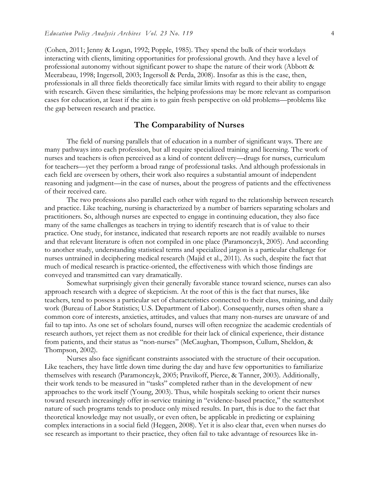(Cohen, 2011; Jenny & Logan, 1992; Popple, 1985). They spend the bulk of their workdays interacting with clients, limiting opportunities for professional growth. And they have a level of professional autonomy without significant power to shape the nature of their work (Abbott & Meerabeau, 1998; Ingersoll, 2003; Ingersoll & Perda, 2008). Insofar as this is the case, then, professionals in all three fields theoretically face similar limits with regard to their ability to engage with research. Given these similarities, the helping professions may be more relevant as comparison cases for education, at least if the aim is to gain fresh perspective on old problems—problems like the gap between research and practice.

#### **The Comparability of Nurses**

The field of nursing parallels that of education in a number of significant ways. There are many pathways into each profession, but all require specialized training and licensing. The work of nurses and teachers is often perceived as a kind of content delivery—drugs for nurses, curriculum for teachers—yet they perform a broad range of professional tasks. And although professionals in each field are overseen by others, their work also requires a substantial amount of independent reasoning and judgment—in the case of nurses, about the progress of patients and the effectiveness of their received care.

The two professions also parallel each other with regard to the relationship between research and practice. Like teaching, nursing is characterized by a number of barriers separating scholars and practitioners. So, although nurses are expected to engage in continuing education, they also face many of the same challenges as teachers in trying to identify research that is of value to their practice. One study, for instance, indicated that research reports are not readily available to nurses and that relevant literature is often not compiled in one place (Paramonczyk, 2005). And according to another study, understanding statistical terms and specialized jargon is a particular challenge for nurses untrained in deciphering medical research (Majid et al., 2011). As such, despite the fact that much of medical research is practice-oriented, the effectiveness with which those findings are conveyed and transmitted can vary dramatically.

Somewhat surprisingly given their generally favorable stance toward science, nurses can also approach research with a degree of skepticism. At the root of this is the fact that nurses, like teachers, tend to possess a particular set of characteristics connected to their class, training, and daily work (Bureau of Labor Statistics; U.S. Department of Labor). Consequently, nurses often share a common core of interests, anxieties, attitudes, and values that many non-nurses are unaware of and fail to tap into. As one set of scholars found, nurses will often recognize the academic credentials of research authors, yet reject them as not credible for their lack of clinical experience, their distance from patients, and their status as "non-nurses" (McCaughan, Thompson, Cullum, Sheldon, & Thompson, 2002).

Nurses also face significant constraints associated with the structure of their occupation. Like teachers, they have little down time during the day and have few opportunities to familiarize themselves with research (Paramonczyk, 2005; Pravikoff, Pierce, & Tanner, 2003). Additionally, their work tends to be measured in "tasks" completed rather than in the development of new approaches to the work itself (Young, 2003). Thus, while hospitals seeking to orient their nurses toward research increasingly offer in-service training in "evidence-based practice," the scattershot nature of such programs tends to produce only mixed results. In part, this is due to the fact that theoretical knowledge may not usually, or even often, be applicable in predicting or explaining complex interactions in a social field (Heggen, 2008). Yet it is also clear that, even when nurses do see research as important to their practice, they often fail to take advantage of resources like in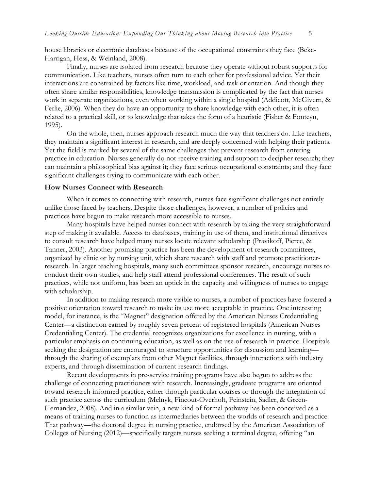house libraries or electronic databases because of the occupational constraints they face (Beke-Harrigan, Hess, & Weinland, 2008).

Finally, nurses are isolated from research because they operate without robust supports for communication. Like teachers, nurses often turn to each other for professional advice. Yet their interactions are constrained by factors like time, workload, and task orientation. And though they often share similar responsibilities, knowledge transmission is complicated by the fact that nurses work in separate organizations, even when working within a single hospital (Addicott, McGivern, & Ferlie, 2006). When they do have an opportunity to share knowledge with each other, it is often related to a practical skill, or to knowledge that takes the form of a heuristic (Fisher & Fonteyn, 1995).

On the whole, then, nurses approach research much the way that teachers do. Like teachers, they maintain a significant interest in research, and are deeply concerned with helping their patients. Yet the field is marked by several of the same challenges that prevent research from entering practice in education. Nurses generally do not receive training and support to decipher research; they can maintain a philosophical bias against it; they face serious occupational constraints; and they face significant challenges trying to communicate with each other.

#### **How Nurses Connect with Research**

When it comes to connecting with research, nurses face significant challenges not entirely unlike those faced by teachers. Despite those challenges, however, a number of policies and practices have begun to make research more accessible to nurses.

Many hospitals have helped nurses connect with research by taking the very straightforward step of making it available. Access to databases, training in use of them, and institutional directives to consult research have helped many nurses locate relevant scholarship (Pravikoff, Pierce, & Tanner, 2003). Another promising practice has been the development of research committees, organized by clinic or by nursing unit, which share research with staff and promote practitionerresearch. In larger teaching hospitals, many such committees sponsor research, encourage nurses to conduct their own studies, and help staff attend professional conferences. The result of such practices, while not uniform, has been an uptick in the capacity and willingness of nurses to engage with scholarship.

In addition to making research more visible to nurses, a number of practices have fostered a positive orientation toward research to make its use more acceptable in practice. One interesting model, for instance, is the "Magnet" designation offered by the American Nurses Credentialing Center—a distinction earned by roughly seven percent of registered hospitals (American Nurses Credentialing Center). The credential recognizes organizations for excellence in nursing, with a particular emphasis on continuing education, as well as on the use of research in practice. Hospitals seeking the designation are encouraged to structure opportunities for discussion and learning through the sharing of exemplars from other Magnet facilities, through interactions with industry experts, and through dissemination of current research findings.

Recent developments in pre-service training programs have also begun to address the challenge of connecting practitioners with research. Increasingly, graduate programs are oriented toward research-informed practice, either through particular courses or through the integration of such practice across the curriculum (Melnyk, Fineout-Overholt, Feinstein, Sadler, & Green-Hernandez, 2008). And in a similar vein, a new kind of formal pathway has been conceived as a means of training nurses to function as intermediaries between the worlds of research and practice. That pathway—the doctoral degree in nursing practice, endorsed by the American Association of Colleges of Nursing (2012)—specifically targets nurses seeking a terminal degree, offering "an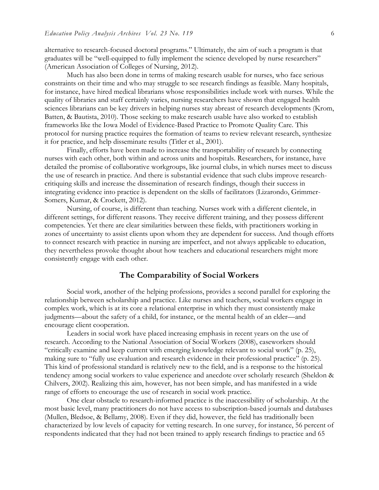alternative to research-focused doctoral programs." Ultimately, the aim of such a program is that graduates will be "well-equipped to fully implement the science developed by nurse researchers" (American Association of Colleges of Nursing, 2012).

Much has also been done in terms of making research usable for nurses, who face serious constraints on their time and who may struggle to see research findings as feasible. Many hospitals, for instance, have hired medical librarians whose responsibilities include work with nurses. While the quality of libraries and staff certainly varies, nursing researchers have shown that engaged health sciences librarians can be key drivers in helping nurses stay abreast of research developments (Krom, Batten, & Bautista, 2010). Those seeking to make research usable have also worked to establish frameworks like the Iowa Model of Evidence-Based Practice to Promote Quality Care. This protocol for nursing practice requires the formation of teams to review relevant research, synthesize it for practice, and help disseminate results (Titler et al., 2001).

Finally, efforts have been made to increase the transportability of research by connecting nurses with each other, both within and across units and hospitals. Researchers, for instance, have detailed the promise of collaborative workgroups, like journal clubs, in which nurses meet to discuss the use of research in practice. And there is substantial evidence that such clubs improve researchcritiquing skills and increase the dissemination of research findings, though their success in integrating evidence into practice is dependent on the skills of facilitators (Lizarondo, Grimmer-Somers, Kumar, & Crockett, 2012).

Nursing, of course, is different than teaching. Nurses work with a different clientele, in different settings, for different reasons. They receive different training, and they possess different competencies. Yet there are clear similarities between these fields, with practitioners working in zones of uncertainty to assist clients upon whom they are dependent for success. And though efforts to connect research with practice in nursing are imperfect, and not always applicable to education, they nevertheless provoke thought about how teachers and educational researchers might more consistently engage with each other.

### **The Comparability of Social Workers**

Social work, another of the helping professions, provides a second parallel for exploring the relationship between scholarship and practice. Like nurses and teachers, social workers engage in complex work, which is at its core a relational enterprise in which they must consistently make judgments—about the safety of a child, for instance, or the mental health of an elder—and encourage client cooperation.

Leaders in social work have placed increasing emphasis in recent years on the use of research. According to the National Association of Social Workers (2008), caseworkers should "critically examine and keep current with emerging knowledge relevant to social work" (p. 25), making sure to "fully use evaluation and research evidence in their professional practice" (p. 25). This kind of professional standard is relatively new to the field, and is a response to the historical tendency among social workers to value experience and anecdote over scholarly research (Sheldon & Chilvers, 2002). Realizing this aim, however, has not been simple, and has manifested in a wide range of efforts to encourage the use of research in social work practice.

One clear obstacle to research-informed practice is the inaccessibility of scholarship. At the most basic level, many practitioners do not have access to subscription-based journals and databases (Mullen, Bledsoe, & Bellamy, 2008). Even if they did, however, the field has traditionally been characterized by low levels of capacity for vetting research. In one survey, for instance, 56 percent of respondents indicated that they had not been trained to apply research findings to practice and 65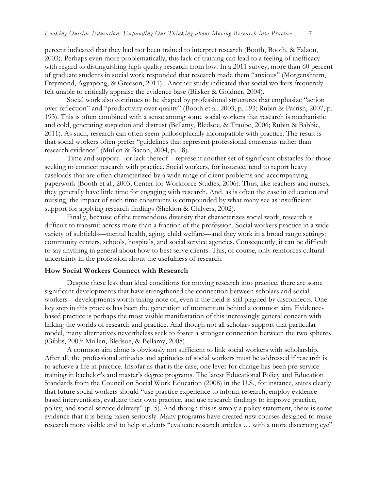percent indicated that they had not been trained to interpret research (Booth, Booth, & Falzon, 2003). Perhaps even more problematically, this lack of training can lead to a feeling of inefficacy with regard to distinguishing high-quality research from low. In a 2011 survey, more than 60 percent of graduate students in social work responded that research made them "anxious" (Morgenshtern, Freymond, Agyapong, & Greeson, 2011). Another study indicated that social workers frequently felt unable to critically appraise the evidence base (Bilsker & Goldner, 2004).

Social work also continues to be shaped by professional structures that emphasize "action over reflection" and "productivity over quality" (Booth et al. 2003, p. 193; Rubin & Parrish, 2007, p. 193). This is often combined with a sense among some social workers that research is mechanistic and cold, generating suspicion and distrust (Bellamy, Bledsoe, & Traube, 2006; Rubin & Babbie, 2011). As such, research can often seem philosophically incompatible with practice. The result is that social workers often prefer "guidelines that represent professional consensus rather than research evidence" (Mullen & Bacon, 2004, p. 18).

Time and support—or lack thereof—represent another set of significant obstacles for those seeking to connect research with practice. Social workers, for instance, tend to report heavy caseloads that are often characterized by a wide range of client problems and accompanying paperwork (Booth et al., 2003; Center for Workforce Studies, 2006). Thus, like teachers and nurses, they generally have little time for engaging with research. And, as is often the case in education and nursing, the impact of such time constraints is compounded by what many see as insufficient support for applying research findings (Sheldon & Chilvers, 2002).

Finally, because of the tremendous diversity that characterizes social work, research is difficult to transmit across more than a fraction of the profession. Social workers practice in a wide variety of subfields—mental health, aging, child welfare—and they work in a broad range settings: community centers, schools, hospitals, and social service agencies. Consequently, it can be difficult to say anything in general about how to best serve clients. This, of course, only reinforces cultural uncertainty in the profession about the usefulness of research.

#### **How Social Workers Connect with Research**

Despite these less than ideal conditions for moving research into practice, there are some significant developments that have strengthened the connection between scholars and social workers—developments worth taking note of, even if the field is still plagued by disconnects. One key step in this process has been the generation of momentum behind a common aim. Evidencebased practice is perhaps the most visible manifestation of this increasingly general concern with linking the worlds of research and practice. And though not all scholars support that particular model, many alternatives nevertheless seek to foster a stronger connection between the two spheres (Gibbs, 2003; Mullen, Bledsoe, & Bellamy, 2008).

A common aim alone is obviously not sufficient to link social workers with scholarship. After all, the professional attitudes and aptitudes of social workers must be addressed if research is to achieve a life in practice. Insofar as that is the case, one lever for change has been pre-service training in bachelor's and master's degree programs. The latest Educational Policy and Education Standards from the Council on Social Work Education (2008) in the U.S., for instance, states clearly that future social workers should "use practice experience to inform research, employ evidencebased interventions, evaluate their own practice, and use research findings to improve practice, policy, and social service delivery" (p. 5). And though this is simply a policy statement, there is some evidence that it is being taken seriously. Many programs have created new courses designed to make research more visible and to help students "evaluate research articles … with a more discerning eye"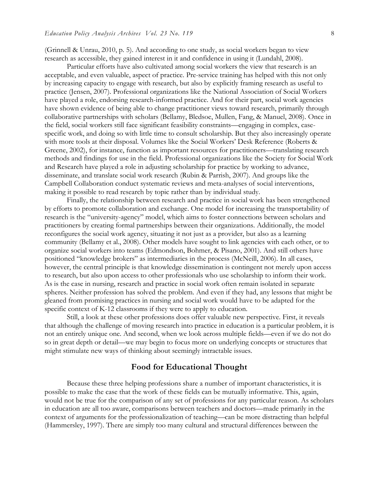(Grinnell & Unrau, 2010, p. 5). And according to one study, as social workers began to view research as accessible, they gained interest in it and confidence in using it (Lundahl, 2008).

Particular efforts have also cultivated among social workers the view that research is an acceptable, and even valuable, aspect of practice. Pre-service training has helped with this not only by increasing capacity to engage with research, but also by explicitly framing research as useful to practice (Jensen, 2007). Professional organizations like the National Association of Social Workers have played a role, endorsing research-informed practice. And for their part, social work agencies have shown evidence of being able to change practitioner views toward research, primarily through collaborative partnerships with scholars (Bellamy, Bledsoe, Mullen, Fang, & Manuel, 2008). Once in the field, social workers still face significant feasibility constraints—engaging in complex, casespecific work, and doing so with little time to consult scholarship. But they also increasingly operate with more tools at their disposal. Volumes like the Social Workers' Desk Reference (Roberts & Greene, 2002), for instance, function as important resources for practitioners—translating research methods and findings for use in the field. Professional organizations like the Society for Social Work and Research have played a role in adjusting scholarship for practice by working to advance, disseminate, and translate social work research (Rubin & Parrish, 2007). And groups like the Campbell Collaboration conduct systematic reviews and meta-analyses of social interventions, making it possible to read research by topic rather than by individual study.

Finally, the relationship between research and practice in social work has been strengthened by efforts to promote collaboration and exchange. One model for increasing the transportability of research is the "university-agency" model, which aims to foster connections between scholars and practitioners by creating formal partnerships between their organizations. Additionally, the model reconfigures the social work agency, situating it not just as a provider, but also as a learning community (Bellamy et al., 2008). Other models have sought to link agencies with each other, or to organize social workers into teams (Edmondson, Bohmer, & Pisano, 2001). And still others have positioned "knowledge brokers" as intermediaries in the process (McNeill, 2006). In all cases, however, the central principle is that knowledge dissemination is contingent not merely upon access to research, but also upon access to other professionals who use scholarship to inform their work. As is the case in nursing, research and practice in social work often remain isolated in separate spheres. Neither profession has solved the problem. And even if they had, any lessons that might be gleaned from promising practices in nursing and social work would have to be adapted for the specific context of K-12 classrooms if they were to apply to education.

Still, a look at these other professions does offer valuable new perspective. First, it reveals that although the challenge of moving research into practice in education is a particular problem, it is not an entirely unique one. And second, when we look across multiple fields—even if we do not do so in great depth or detail—we may begin to focus more on underlying concepts or structures that might stimulate new ways of thinking about seemingly intractable issues.

### **Food for Educational Thought**

Because these three helping professions share a number of important characteristics, it is possible to make the case that the work of these fields can be mutually informative. This, again, would not be true for the comparison of any set of professions for any particular reason. As scholars in education are all too aware, comparisons between teachers and doctors—made primarily in the context of arguments for the professionalization of teaching—can be more distracting than helpful (Hammersley, 1997). There are simply too many cultural and structural differences between the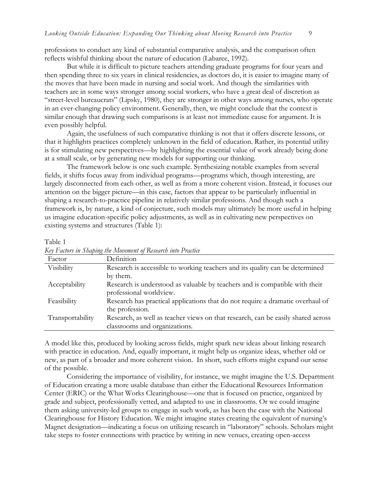professions to conduct any kind of substantial comparative analysis, and the comparison often reflects wishful thinking about the nature of education (Labaree, 1992).

But while it is difficult to picture teachers attending graduate programs for four years and then spending three to six years in clinical residencies, as doctors do, it is easier to imagine many of the moves that have been made in nursing and social work. And though the similarities with teachers are in some ways stronger among social workers, who have a great deal of discretion as "street-level bureaucrats" (Lipsky, 1980), they are stronger in other ways among nurses, who operate in an ever-changing policy environment. Generally, then, we might conclude that the context is similar enough that drawing such comparisons is at least not immediate cause for argument. It is even possibly helpful.

Again, the usefulness of such comparative thinking is not that it offers discrete lessons, or that it highlights practices completely unknown in the field of education. Rather, its potential utility is for stimulating new perspectives—by highlighting the essential value of work already being done at a small scale, or by generating new models for supporting our thinking.

The framework below is one such example. Synthesizing notable examples from several fields, it shifts focus away from individual programs—programs which, though interesting, are largely disconnected from each other, as well as from a more coherent vision. Instead, it focuses our attention on the bigger picture—in this case, factors that appear to be particularly influential in shaping a research-to-practice pipeline in relatively similar professions. And though such a framework is, by nature, a kind of conjecture, such models may ultimately be more useful in helping us imagine education-specific policy adjustments, as well as in cultivating new perspectives on existing systems and structures (Table 1):

#### Table 1

| $\alpha$ ) I ano's in Syaping two Information prosenters that I family |                                                                                  |  |
|------------------------------------------------------------------------|----------------------------------------------------------------------------------|--|
| Factor                                                                 | Definition                                                                       |  |
| Visibility                                                             | Research is accessible to working teachers and its quality can be determined     |  |
|                                                                        | by them.                                                                         |  |
| Acceptability                                                          | Research is understood as valuable by teachers and is compatible with their      |  |
|                                                                        | professional worldview.                                                          |  |
| Feasibility                                                            | Research has practical applications that do not require a dramatic overhaul of   |  |
|                                                                        | the profession.                                                                  |  |
| Transportability                                                       | Research, as well as teacher views on that research, can be easily shared across |  |
|                                                                        | classrooms and organizations.                                                    |  |

*Key Factors in Shaping the Movement of Research into Practice*

A model like this, produced by looking across fields, might spark new ideas about linking research with practice in education. And, equally important, it might help us organize ideas, whether old or new, as part of a broader and more coherent vision. In short, such efforts might expand our sense of the possible.

Considering the importance of visibility, for instance, we might imagine the U.S. Department of Education creating a more usable database than either the Educational Resources Information Center (ERIC) or the What Works Clearinghouse—one that is focused on practice, organized by grade and subject, professionally vetted, and adapted to use in classrooms. Or we could imagine them asking university-led groups to engage in such work, as has been the case with the National Clearinghouse for History Education. We might imagine states creating the equivalent of nursing's Magnet designation—indicating a focus on utilizing research in "laboratory" schools. Scholars might take steps to foster connections with practice by writing in new venues, creating open-access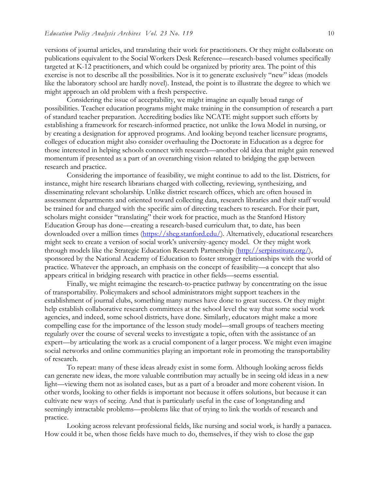versions of journal articles, and translating their work for practitioners. Or they might collaborate on publications equivalent to the Social Workers Desk Reference—research-based volumes specifically targeted at K-12 practitioners, and which could be organized by priority area. The point of this exercise is not to describe all the possibilities. Nor is it to generate exclusively "new" ideas (models like the laboratory school are hardly novel). Instead, the point is to illustrate the degree to which we might approach an old problem with a fresh perspective.

Considering the issue of acceptability, we might imagine an equally broad range of possibilities. Teacher education programs might make training in the consumption of research a part of standard teacher preparation. Accrediting bodies like NCATE might support such efforts by establishing a framework for research-informed practice, not unlike the Iowa Model in nursing, or by creating a designation for approved programs. And looking beyond teacher licensure programs, colleges of education might also consider overhauling the Doctorate in Education as a degree for those interested in helping schools connect with research—another old idea that might gain renewed momentum if presented as a part of an overarching vision related to bridging the gap between research and practice.

Considering the importance of feasibility, we might continue to add to the list. Districts, for instance, might hire research librarians charged with collecting, reviewing, synthesizing, and disseminating relevant scholarship. Unlike district research offices, which are often housed in assessment departments and oriented toward collecting data, research libraries and their staff would be trained for and charged with the specific aim of directing teachers to research. For their part, scholars might consider "translating" their work for practice, much as the Stanford History Education Group has done—creating a research-based curriculum that, to date, has been downloaded over a million times [\(https://sheg.stanford.edu/\)](https://sheg.stanford.edu/). Alternatively, educational researchers might seek to create a version of social work's university-agency model. Or they might work through models like the Strategic Education Research Partnership [\(http://serpinstitute.org/\)](http://serpinstitute.org/), sponsored by the National Academy of Education to foster stronger relationships with the world of practice. Whatever the approach, an emphasis on the concept of feasibility—a concept that also appears critical in bridging research with practice in other fields—seems essential.

Finally, we might reimagine the research-to-practice pathway by concentrating on the issue of transportability. Policymakers and school administrators might support teachers in the establishment of journal clubs, something many nurses have done to great success. Or they might help establish collaborative research committees at the school level the way that some social work agencies, and indeed, some school districts, have done. Similarly, educators might make a more compelling case for the importance of the lesson study model—small groups of teachers meeting regularly over the course of several weeks to investigate a topic, often with the assistance of an expert—by articulating the work as a crucial component of a larger process. We might even imagine social networks and online communities playing an important role in promoting the transportability of research.

To repeat: many of these ideas already exist in some form. Although looking across fields can generate new ideas, the more valuable contribution may actually be in seeing old ideas in a new light—viewing them not as isolated cases, but as a part of a broader and more coherent vision. In other words, looking to other fields is important not because it offers solutions, but because it can cultivate new ways of seeing. And that is particularly useful in the case of longstanding and seemingly intractable problems—problems like that of trying to link the worlds of research and practice.

Looking across relevant professional fields, like nursing and social work, is hardly a panacea. How could it be, when those fields have much to do, themselves, if they wish to close the gap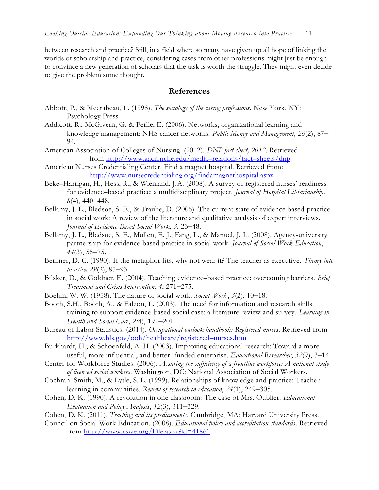between research and practice? Still, in a field where so many have given up all hope of linking the worlds of scholarship and practice, considering cases from other professions might just be enough to convince a new generation of scholars that the task is worth the struggle. They might even decide to give the problem some thought.

## **References**

- Abbott, P., & Meerabeau, L. (1998). *The sociology of the caring professions*. New York, NY: Psychology Press.
- Addicott, R., McGivern, G. & Ferlie, E. (2006). Networks, organizational learning and knowledge management: NHS cancer networks. *Public Money and Management, 26*(2), 87– 94.
- American Association of Colleges of Nursing. (2012). *DNP fact sheet, 2012*. Retrieved from [http://www.aacn.nche.edu/media](http://www.aacn.nche.edu/media–relations/fact–sheets/dnp)–relations/fact–sheets/dnp
- American Nurses Credentialing Center. Find a magnet hospital. Retrieved from: <http://www.nursecredentialing.org/findamagnethospital.aspx>
- Beke–Harrigan, H., Hess, R., & Wienland, J.A. (2008). A survey of registered nurses' readiness for evidence–based practice: a multidisciplinary project. *Journal of Hospital Librarianship*, *8*(4), 440–448.
- Bellamy, J. L., Bledsoe, S. E., & Traube, D. (2006). The current state of evidence based practice in social work: A review of the literature and qualitative analysis of expert interviews. *Journal of Evidence-Based Social Work*, *3*, 23–48.
- Bellamy, J. L., Bledsoe, S. E., Mullen, E. J., Fang, L., & Manuel, J. L. (2008). Agency-university partnership for evidence-based practice in social work*. Journal of Social Work Education*, *44*(3), 55–75.
- Berliner, D. C. (1990). If the metaphor fits, why not wear it? The teacher as executive. *Theory into practice, 29*(2), 85–93.
- Bilsker, D., & Goldner, E. (2004). Teaching evidence–based practice: overcoming barriers. *Brief Treatment and Crisis Intervention*, *4*, 271–275.
- Boehm, W. W. (1958). The nature of social work. *Social Work*, *3*(2), 10–18.
- Booth, S.H., Booth, A., & Falzon, L. (2003). The need for information and research skills training to support evidence-based social case: a literature review and survey*. Learning in Health and Social Care*, *2(*4), 191–201.
- Bureau of Labor Statistics. (2014). *Occupational outlook handbook: Registered nurses*. Retrieved from [http://www.bls.gov/ooh/healthcare/registered](http://www.bls.gov/ooh/healthcare/registered–nurses.htm)–nurses.htm
- Burkhardt, H., & Schoenfeld, A. H. (2003). Improving educational research: Toward a more useful, more influential, and better–funded enterprise. *Educational Researcher*, *32*(9), 3–14.
- Center for Workforce Studies. (2006). *Assuring the sufficiency of a frontline workforce: A national study of licensed social workers*. Washington, DC: National Association of Social Workers.
- Cochran–Smith, M., & Lytle, S. L. (1999). Relationships of knowledge and practice: Teacher learning in communities. *Review of research in education*, *24*(1), 249–305.
- Cohen, D. K. (1990). A revolution in one classroom: The case of Mrs. Oublier. *Educational Evaluation and Policy Analysis*, *12*(3), 311–329.
- Cohen, D. K. (2011). *Teaching and its predicaments*. Cambridge, MA: Harvard University Press.
- Council on Social Work Education. (2008). *Educational policy and accreditation standards*. Retrieved from <http://www.cswe.org/File.aspx?id=41861>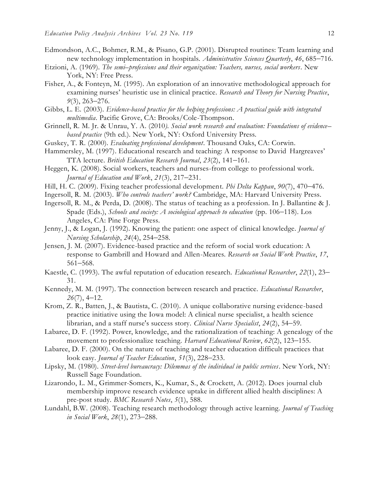- Edmondson, A.C., Bohmer, R.M., & Pisano, G.P. (2001). Disrupted routines: Team learning and new technology implementation in hospitals. *Administrative Sciences Quarterly*, *46*, 685–716.
- Etzioni, A. (1969). *The semi–professions and their organization: Teachers, nurses, social workers*. New York, NY: Free Press.
- Fisher, A., & Fonteyn, M. (1995). An exploration of an innovative methodological approach for examining nurses' heuristic use in clinical practice. *Research and Theory for Nursing Practice*, *9*(3), 263–276.
- Gibbs, L. E. (2003). *Evidence-based practice for the helping professions: A practical guide with integrated multimedia*. Pacific Grove, CA: Brooks/Cole-Thompson.
- Grinnell, R. M. Jr. & Unrau, Y. A. (2010*). Social work research and evaluation: Foundations of evidence– based practice* (9th ed.). New York, NY: Oxford University Press.
- Guskey, T. R. (2000). *Evaluating professional development*. Thousand Oaks, CA: Corwin.
- Hammersley, M. (1997). Educational research and teaching: A response to David Hargreaves' TTA lecture. *British Education Research Journal*, *23*(2), 141–161.
- Heggen, K. (2008). Social workers, teachers and nurses-from college to professional work. *Journal of Education and Work*, *21*(3), 217–231.
- Hill, H. C. (2009). Fixing teacher professional development. *Phi Delta Kappan*, *90*(7), 470–476.
- Ingersoll, R. M. (2003). *Who controls teachers' work?* Cambridge, MA: Harvard University Press.
- Ingersoll, R. M., & Perda, D. (2008). The status of teaching as a profession. In J. Ballantine & J. Spade (Eds.), *Schools and society: A sociological approach to education* (pp. 106–118). Los Angeles, CA: Pine Forge Press.
- Jenny, J., & Logan, J. (1992). Knowing the patient: one aspect of clinical knowledge. *Journal of Nursing Scholarship*, *24*(4), 254–258.
- Jensen, J. M. (2007). Evidence-based practice and the reform of social work education: A response to Gambrill and Howard and Allen-Meares. *Research on Social Work Practice*, *17*, 561–568.
- Kaestle, C. (1993). The awful reputation of education research. *Educational Researcher*, *22*(1), 23– 31.
- Kennedy, M. M. (1997). The connection between research and practice. *Educational Researcher*, *26*(7), 4–12.
- Krom, Z. R., Batten, J., & Bautista, C. (2010). A unique collaborative nursing evidence-based practice initiative using the Iowa model: A clinical nurse specialist, a health science librarian, and a staff nurse's success story. *Clinical Nurse Specialist*, *24*(2), 54–59.
- Labaree, D. F. (1992). Power, knowledge, and the rationalization of teaching: A genealogy of the movement to professionalize teaching. *Harvard Educational Review*, *62*(2), 123–155.
- Labaree, D. F. (2000). On the nature of teaching and teacher education difficult practices that look easy. *Journal of Teacher Education*, *51*(3), 228–233.
- Lipsky, M. (1980). *Street-level bureaucracy: Dilemmas of the individual in public services*. New York, NY: Russell Sage Foundation.
- Lizarondo, L. M., Grimmer-Somers, K., Kumar, S., & Crockett, A. (2012). Does journal club membership improve research evidence uptake in different allied health disciplines: A pre-post study. *BMC Research Notes*, *5*(1), 588.
- Lundahl, B.W. (2008). Teaching research methodology through active learning. *Journal of Teaching in Social Work*, *28*(1), 273–288.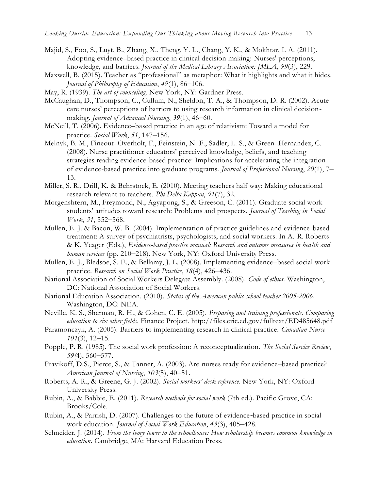- Majid, S., Foo, S., Luyt, B., Zhang, X., Theng, Y. L., Chang, Y. K., & Mokhtar, I. A. (2011). Adopting evidence–based practice in clinical decision making: Nurses' perceptions, knowledge, and barriers. *Journal of the Medical Library Association: JMLA*, *99*(3), 229.
- Maxwell, B. (2015). Teacher as "professional" as metaphor: What it highlights and what it hides. *Journal of Philosophy of Education*, *49*(1), 86–106.
- May, R. (1939). *The art of counseling*. New York, NY: Gardner Press.
- McCaughan, D., Thompson, C., Cullum, N., Sheldon, T. A., & Thompson, D. R. (2002). Acute care nurses' perceptions of barriers to using research information in clinical decisionmaking. *Journal of Advanced Nursing*, *39*(1), 46–60.
- McNeill, T. (2006). Evidence–based practice in an age of relativism: Toward a model for practice. *Social Work*, *51*, 147–156.
- Melnyk, B. M., Fineout–Overholt, F., Feinstein, N. F., Sadler, L. S., & Green–Hernandez, C. (2008). Nurse practitioner educators' perceived knowledge, beliefs, and teaching strategies reading evidence-based practice: Implications for accelerating the integration of evidence-based practice into graduate programs. *Journal of Professional Nursing*, *20*(1), 7– 13.
- Miller, S. R., Drill, K. & Behrstock, E. (2010). Meeting teachers half way: Making educational research relevant to teachers. *Phi Delta Kappan*, *91*(7), 32.
- Morgenshtern, M., Freymond, N., Agyapong, S., & Greeson, C. (2011). Graduate social work students' attitudes toward research: Problems and prospects. *Journal of Teaching in Social Work*, *31*, 552–568.
- Mullen, E. J. & Bacon, W. B. (2004). Implementation of practice guidelines and evidence-based treatment: A survey of psychiatrists, psychologists, and social workers. In A. R. Roberts & K. Yeager (Eds.), *Evidence-based practice manual: Research and outcome measures in health and human services* (pp. 210–218). New York, NY: Oxford University Press.
- Mullen, E. J., Bledsoe, S. E., & Bellamy, J. L. (2008). Implementing evidence–based social work practice. *Research on Social Work Practice*, *18*(4), 426–436.
- National Association of Social Workers Delegate Assembly. (2008). *Code of ethics*. Washington, DC: National Association of Social Workers.
- National Education Association. (2010). *Status of the American public school teacher 2005-2006*. Washington, DC: NEA.
- Neville, K. S., Sherman, R. H., & Cohen, C. E. (2005). *Preparing and training professionals. Comparing education to six other fields*. Finance Project. http://files.eric.ed.gov/fulltext/ED485648.pdf
- Paramonczyk, A. (2005). Barriers to implementing research in clinical practice. *Canadian Nurse 101*(3), 12–15.
- Popple, P. R. (1985). The social work profession: A reconceptualization. *The Social Service Review*, *59(*4), 560–577.
- Pravikoff, D.S., Pierce, S., & Tanner, A. (2003). Are nurses ready for evidence–based practice? *American Journal of Nursing*, *103*(5), 40–51.
- Roberts, A. R., & Greene, G. J. (2002). *Social workers' desk reference*. New York, NY: Oxford University Press.
- Rubin, A., & Babbie, E. (2011). *Research methods for social work* (7th ed.). Pacific Grove, CA: Brooks/Cole.
- Rubin, A., & Parrish, D. (2007). Challenges to the future of evidence-based practice in social work education*. Journal of Social Work Education*, *43*(3), 405–428.
- Schneider, J. (2014). *From the ivory tower to the schoolhouse: How scholarship becomes common knowledge in education*. Cambridge, MA: Harvard Education Press.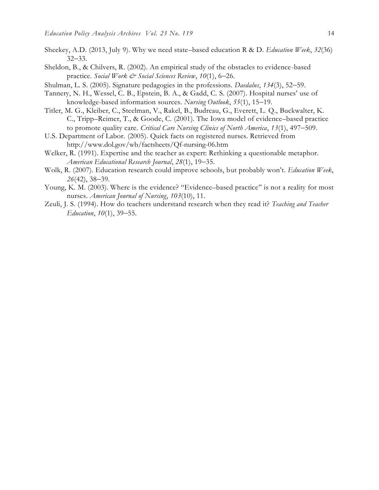- Sheekey, A.D. (2013, July 9). Why we need state–based education R & D. *Education Week*, *32*(36) 32–33.
- Sheldon, B., & Chilvers, R. (2002). An empirical study of the obstacles to evidence-based practice*. Social Work & Social Sciences Review*, *10*(1), 6–26.
- Shulman, L. S. (2005). Signature pedagogies in the professions. *Daedalus*, *134*(3), 52–59.
- Tannery, N. H., Wessel, C. B., Epstein, B. A., & Gadd, C. S. (2007). Hospital nurses' use of knowledge-based information sources. *Nursing Outlook*, *55*(1), 15–19.
- Titler, M. G., Kleiber, C., Steelman, V., Rakel, B., Budreau, G., Everett, L. Q., Buckwalter, K. C., Tripp–Reimer, T., & Goode, C. (2001). The Iowa model of evidence–based practice to promote quality care. *Critical Care Nursing Clinics of North America*, *13*(1), 497–509.
- U.S. Department of Labor. (2005). Quick facts on registered nurses. Retrieved from http://www.dol.gov/wb/factsheets/Qf-nursing-06.htm
- Welker, R. (1991). Expertise and the teacher as expert: Rethinking a questionable metaphor. *American Educational Research Journal*, *28*(1), 19–35.
- Wolk, R. (2007). Education research could improve schools, but probably won't. *Education Week*, *26*(42), 38–39.
- Young, K. M. (2003). Where is the evidence? "Evidence–based practice" is not a reality for most nurses. *American Journal of Nursing*, *103*(10), 11.
- Zeuli, J. S. (1994). How do teachers understand research when they read it? *Teaching and Teacher Education*, *10*(1), 39–55.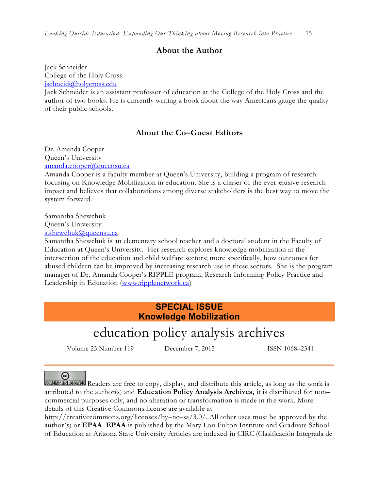## **About the Author**

Jack Schneider College of the Holy Cross [jschneid@holycross.edu](mailto:jschneid@holycross.edu)

Jack Schneider is an assistant professor of education at the College of the Holy Cross and the author of two books. He is currently writing a book about the way Americans gauge the quality of their public schools.

## **About the Co–Guest Editors**

Dr. Amanda Cooper Queen's University [amanda.cooper@queensu.ca](../../../../../../Downloads/amanda.cooper@queensu.ca)

Amanda Cooper is a faculty member at Queen's University, building a program of research focusing on Knowledge Mobilization in education. She is a chaser of the ever-elusive research impact and believes that collaborations among diverse stakeholders is the best way to move the system forward.

Samantha Shewchuk Queen's University

[s.shewchuk@queensu.ca](mailto:s.shewchuk@queensu.ca)

Samantha Shewchuk is an elementary school teacher and a doctoral student in the Faculty of Education at Queen's University. Her research explores knowledge mobilization at the intersection of the education and child welfare sectors; more specifically, how outcomes for abused children can be improved by increasing research use in these sectors. She is the program manager of Dr. Amanda Cooper's RIPPLE program, Research Informing Policy Practice and Leadership in Education [\(www.ripplenetwork.ca\)](../Templates%20and%20Style%20Information/www.ripplenetwork.ca)

## **SPECIAL ISSUE Knowledge Mobilization**

# education policy analysis archives

Volume 23 Number 119 December 7, 2015 ISSN 1068-2341

(cc)

Readers are free to copy, display, and distribute this article, as long as the work is attributed to the author(s) and **Education Policy Analysis Archives,** it is distributed for non– commercial purposes only, and no alteration or transformation is made in the work. More details of this Creative Commons license are available at

http://creativecommons.org/licenses/by–nc–sa/3.0/. All other uses must be approved by the author(s) or **EPAA**. **EPAA** is published by the Mary Lou Fulton Institute and Graduate School of Education at Arizona State University Articles are indexed in CIRC (Clasificación Integrada de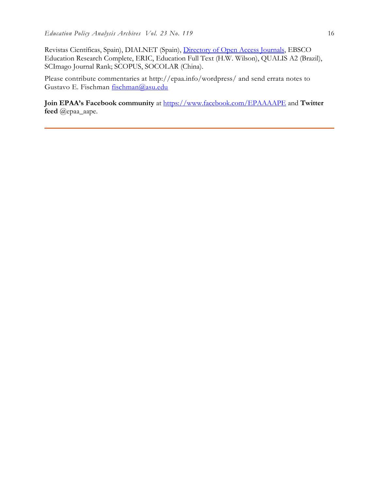Revistas Científicas, Spain), DIALNET (Spain), [Directory of Open Access Journals,](http://www.doaj.org/) EBSCO Education Research Complete, ERIC, Education Full Text (H.W. Wilson), QUALIS A2 (Brazil), SCImago Journal Rank; SCOPUS, SOCOLAR (China).

Please contribute commentaries at http://epaa.info/wordpress/ and send errata notes to Gustavo E. Fischman [fischman@asu.edu](mailto:fischman@asu.edu)

**Join EPAA's Facebook community** at<https://www.facebook.com/EPAAAAPE> and **Twitter feed** @epaa\_aape.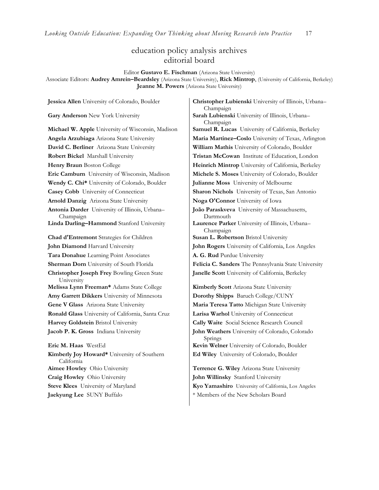## education policy analysis archives editorial board

Editor **Gustavo E. Fischman** (Arizona State University)

Associate Editors: **Audrey Amrein–Beardsley** (Arizona State University), **Rick Mintrop**, (University of California, Berkeley) **Jeanne M. Powers** (Arizona State University)

| Jessica Allen University of Colorado, Boulder                    | Christopher Lubienski University of Illinois, Urbana-        |
|------------------------------------------------------------------|--------------------------------------------------------------|
| Gary Anderson New York University                                | Champaign<br>Sarah Lubienski University of Illinois, Urbana- |
|                                                                  | Champaign                                                    |
| Michael W. Apple University of Wisconsin, Madison                | Samuel R. Lucas University of California, Berkeley           |
| Angela Arzubiaga Arizona State University                        | Maria Martinez-Coslo University of Texas, Arlington          |
| David C. Berliner Arizona State University                       | William Mathis University of Colorado, Boulder               |
| Robert Bickel Marshall University                                | Tristan McCowan Institute of Education, London               |
| Henry Braun Boston College                                       | Heinrich Mintrop University of California, Berkeley          |
| Eric Camburn University of Wisconsin, Madison                    | Michele S. Moses University of Colorado, Boulder             |
| Wendy C. Chi* University of Colorado, Boulder                    | Julianne Moss University of Melbourne                        |
| Casey Cobb University of Connecticut                             | Sharon Nichols University of Texas, San Antonio              |
| Arnold Danzig Arizona State University                           | Noga O'Connor University of Iowa                             |
| Antonia Darder University of Illinois, Urbana-                   | João Paraskveva University of Massachusetts,                 |
| Champaign                                                        | Dartmouth                                                    |
| Linda Darling-Hammond Stanford University                        | Laurence Parker University of Illinois, Urbana-<br>Champaign |
| Chad d'Entremont Strategies for Children                         | Susan L. Robertson Bristol University                        |
| John Diamond Harvard University                                  | John Rogers University of California, Los Angeles            |
| Tara Donahue Learning Point Associates                           | A. G. Rud Purdue University                                  |
| Sherman Dorn University of South Florida                         | Felicia C. Sanders The Pennsylvania State University         |
| <b>Christopher Joseph Frey Bowling Green State</b><br>University | Janelle Scott University of California, Berkeley             |
| Melissa Lynn Freeman* Adams State College                        | Kimberly Scott Arizona State University                      |
| Amy Garrett Dikkers University of Minnesota                      | Dorothy Shipps Baruch College/CUNY                           |
| Gene V Glass Arizona State University                            | Maria Teresa Tatto Michigan State University                 |
| Ronald Glass University of California, Santa Cruz                | Larisa Warhol University of Connecticut                      |
| Harvey Goldstein Bristol University                              | Cally Waite Social Science Research Council                  |
| Jacob P. K. Gross Indiana University                             | John Weathers University of Colorado, Colorado<br>Springs    |
| <b>Eric M. Haas</b> WestEd                                       | Kevin Welner University of Colorado, Boulder                 |
| Kimberly Joy Howard* University of Southern<br>California        | Ed Wiley University of Colorado, Boulder                     |
| Aimee Howley Ohio University                                     | Terrence G. Wiley Arizona State University                   |
| Craig Howley Ohio University                                     | John Willinsky Stanford University                           |
| Steve Klees University of Maryland                               | Kyo Yamashiro University of California, Los Angeles          |
| Jaekyung Lee SUNY Buffalo                                        | * Members of the New Scholars Board                          |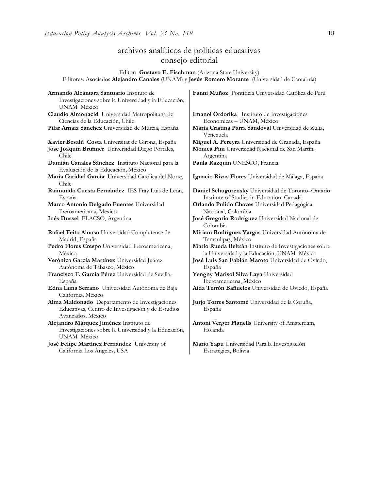# archivos analíticos de políticas educativas consejo editorial

Editor: **Gustavo E. Fischman** (Arizona State University) Editores. Asociados **Alejandro Canales** (UNAM) y **Jesús Romero Morante** (Universidad de Cantabria)

| Armando Alcántara Santuario Instituto de<br>Investigaciones sobre la Universidad y la Educación,<br>UNAM México          | Fanni Muñoz Pontificia Universidad Católica de Perú                                                  |
|--------------------------------------------------------------------------------------------------------------------------|------------------------------------------------------------------------------------------------------|
| Claudio Almonacid Universidad Metropolitana de<br>Ciencias de la Educación, Chile                                        | Imanol Ordorika Instituto de Investigaciones<br>Economicas - UNAM, México                            |
| Pilar Arnaiz Sánchez Universidad de Murcia, España                                                                       | Maria Cristina Parra Sandoval Universidad de Zulia,<br>Venezuela                                     |
| Xavier Besalú Costa Universitat de Girona, España                                                                        | Miguel A. Pereyra Universidad de Granada, España                                                     |
| Jose Joaquin Brunner Universidad Diego Portales,<br>Chile                                                                | Monica Pini Universidad Nacional de San Martín,<br>Argentina                                         |
| Damián Canales Sánchez Instituto Nacional para la<br>Evaluación de la Educación, México                                  | Paula Razquin UNESCO, Francia                                                                        |
| María Caridad García Universidad Católica del Norte,<br>Chile                                                            | Ignacio Rivas Flores Universidad de Málaga, España                                                   |
| Raimundo Cuesta Fernández IES Fray Luis de León,                                                                         | Daniel Schugurensky Universidad de Toronto-Ontario                                                   |
| España                                                                                                                   | Institute of Studies in Education, Canadá                                                            |
| Marco Antonio Delgado Fuentes Universidad<br>Iberoamericana, México                                                      | Orlando Pulido Chaves Universidad Pedagógica<br>Nacional, Colombia                                   |
| Inés Dussel FLACSO, Argentina                                                                                            | José Gregorio Rodríguez Universidad Nacional de<br>Colombia                                          |
| Rafael Feito Alonso Universidad Complutense de<br>Madrid, España                                                         | Miriam Rodríguez Vargas Universidad Autónoma de<br>Tamaulipas, México                                |
| Pedro Flores Crespo Universidad Iberoamericana,<br>México                                                                | Mario Rueda Beltrán Instituto de Investigaciones sobre<br>la Universidad y la Educación, UNAM México |
| Verónica García Martínez Universidad Juárez                                                                              | José Luis San Fabián Maroto Universidad de Oviedo,                                                   |
| Autónoma de Tabasco, México                                                                                              | España                                                                                               |
| Francisco F. García Pérez Universidad de Sevilla,                                                                        | Yengny Marisol Silva Laya Universidad                                                                |
| España                                                                                                                   | Iberoamericana, México                                                                               |
| Edna Luna Serrano Universidad Autónoma de Baja<br>California, México                                                     | Aida Terrón Bañuelos Universidad de Oviedo, España                                                   |
| Alma Maldonado Departamento de Investigaciones<br>Educativas, Centro de Investigación y de Estudios<br>Avanzados, México | Jurio Torres Santomé Universidad de la Coruña,<br>España                                             |
| Alejandro Márquez Jiménez Instituto de                                                                                   | Antoni Verger Planells University of Amsterdam,                                                      |
| Investigaciones sobre la Universidad y la Educación,<br><b>UNAM México</b>                                               | Holanda                                                                                              |
| José Felipe Martínez Fernández University of<br>California Los Angeles, USA                                              | Mario Yapu Universidad Para la Investigación<br>Estratégica, Bolivia                                 |